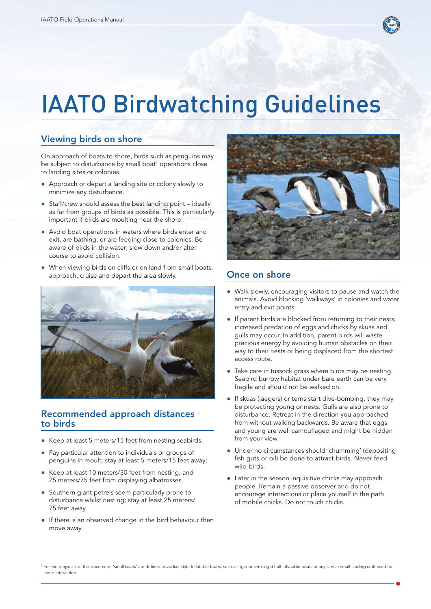

# IAATO Birdwatching Guidelines

### Viewing birds on shore

On approach of boats to shore, birds such as penguins may be subject to disturbance by small boat<sup>1</sup> operations close to landing sites or colonies.

- Approach or depart a landing site or colony slowly to minimize any disturbance.
- Staff/crew should assess the best landing point ideally as far from groups of birds as possible. This is particularly important if birds are moulting near the shore.
- Avoid boat operations in waters where birds enter and exit, are bathing, or are feeding close to colonies. Be aware of birds in the water; slow down and/or alter course to avoid collision.
- When viewing birds on cliffs or on land from small boats, approach, cruise and depart the area slowly.



#### Recommended approach distances to birds

- Keep at least 5 meters/15 feet from nesting seabirds.
- Pay particular attention to individuals or groups of penguins in moult; stay at least 5 meters/15 feet away;
- Keep at least 10 meters/30 feet from nesting, and 25 meters/75 feet from displaying albatrosses.
- Southern giant petrels seem particularly prone to disturbance whilst nesting; stay at least 25 meters/ 75 feet away.
- If there is an observed change in the bird behaviour then move away.



#### Once on shore

- Walk slowly, encouraging visitors to pause and watch the animals. Avoid blocking 'walkways' in colonies and water entry and exit points.
- If parent birds are blocked from returning to their nests, increased predation of eggs and chicks by skuas and gulls may occur. In addition, parent birds will waste precious energy by avoiding human obstacles on their way to their nests or being displaced from the shortest access route.
- Take care in tussock grass where birds may be nesting. Seabird burrow habitat under bare earth can be very fragile and should not be walked on.
- ● If skuas (jaegers) or terns start dive-bombing, they may be protecting young or nests. Gulls are also prone to disturbance. Retreat in the direction you approached from without walking backwards. Be aware that eggs and young are well camouflaged and might be hidden from your view.
- Under no circumstances should 'chumming' (depositing fish guts or oil) be done to attract birds. Never feed wild birds.
- Later in the season inquisitive chicks may approach people. Remain a passive observer and do not encourage interactions or place yourself in the path of mobile chicks. Do not touch chicks.

<sup>&</sup>lt;sup>1</sup> For the purposes of this document, 'small boats' are defined as zodiac-style Inflatable boats, such as rigid or semi-rigid hull Inflatable boats or any similar small landing craft used for shore interaction.